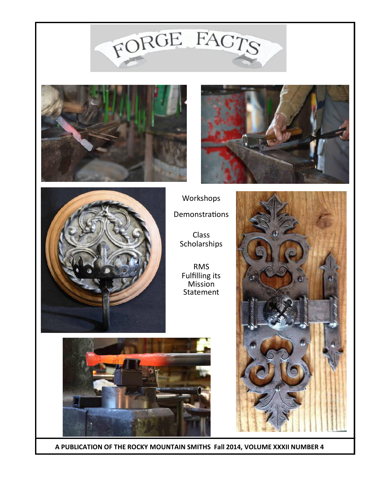## FORGE FACTS









Class Scholarships

RMS Fulfilling its Mission **Statement** 





 **A PUBLICATION OF THE ROCKY MOUNTAIN SMITHS Fall 2014, VOLUME XXXII NUMBER 4**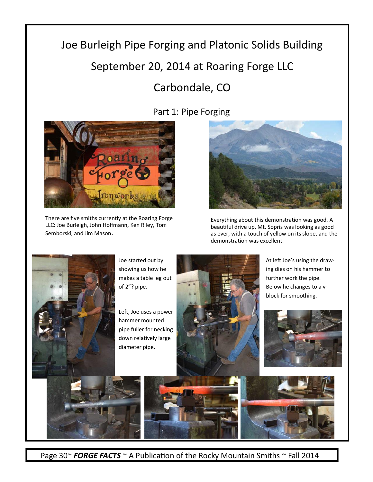## Joe Burleigh Pipe Forging and Platonic Solids Building September 20, 2014 at Roaring Forge LLC

## Carbondale, CO



There are five smiths currently at the Roaring Forge LLC: Joe Burleigh, John Hoffmann, Ken Riley, Tom Semborski, and Jim Mason.

Part 1: Pipe Forging



Everything about this demonstration was good. A beautiful drive up, Mt. Sopris was looking as good as ever, with a touch of yellow on its slope, and the demonstration was excellent.



Joe started out by showing us how he makes a table leg out of 2"? pipe.

Left, Joe uses a power hammer mounted pipe fuller for necking down relatively large diameter pipe.



At left Joe's using the drawing dies on his hammer to further work the pipe. Below he changes to a vblock for smoothing.







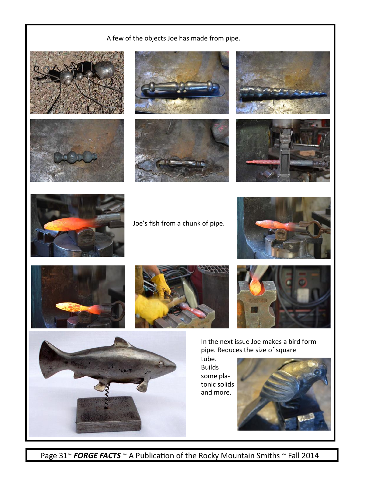## A few of the objects Joe has made from pipe.















Joe's fish from a chunk of pipe.









In the next issue Joe makes a bird form pipe. Reduces the size of square

tube. Builds some platonic solids and more.





Page 31~ **FORGE FACTS** ~ A Publication of the Rocky Mountain Smiths ~ Fall 2014